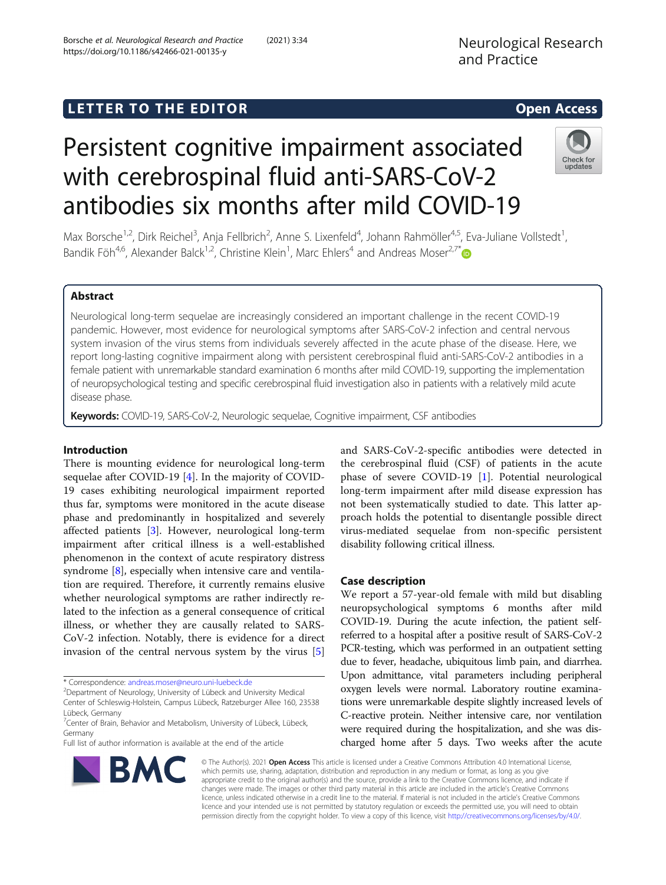Neurological Research and Practice

# LETTER TO THE EDITOR **CONSIDERING THE EDITOR** CONSIDERING THE STATE AND THE STATE ASSAULT THE STATE AND THE STATE ASSAULT THE STATE AND THE STATE AND THE STATE AND THE STATE AND THE STATE AND THE STATE AND THE STATE AND TH

# Persistent cognitive impairment associated with cerebrospinal fluid anti-SARS-CoV-2 antibodies six months after mild COVID-19



Max Borsche<sup>1,2</sup>, Dirk Reichel<sup>3</sup>, Anja Fellbrich<sup>2</sup>, Anne S. Lixenfeld<sup>4</sup>, Johann Rahmöller<sup>4,5</sup>, Eva-Juliane Vollstedt<sup>1</sup> , Bandik Föh<sup>4,6</sup>, Alexander Balck<sup>1,2</sup>, Christine Klein<sup>1</sup>, Marc Ehlers<sup>4</sup> and Andreas Moser<sup>2,7\*</sup>

## Abstract

Neurological long-term sequelae are increasingly considered an important challenge in the recent COVID-19 pandemic. However, most evidence for neurological symptoms after SARS-CoV-2 infection and central nervous system invasion of the virus stems from individuals severely affected in the acute phase of the disease. Here, we report long-lasting cognitive impairment along with persistent cerebrospinal fluid anti-SARS-CoV-2 antibodies in a female patient with unremarkable standard examination 6 months after mild COVID-19, supporting the implementation of neuropsychological testing and specific cerebrospinal fluid investigation also in patients with a relatively mild acute disease phase.

Keywords: COVID-19, SARS-CoV-2, Neurologic sequelae, Cognitive impairment, CSF antibodies

### Introduction

There is mounting evidence for neurological long-term sequelae after COVID-19 [[4\]](#page-2-0). In the majority of COVID-19 cases exhibiting neurological impairment reported thus far, symptoms were monitored in the acute disease phase and predominantly in hospitalized and severely affected patients [\[3](#page-2-0)]. However, neurological long-term impairment after critical illness is a well-established phenomenon in the context of acute respiratory distress syndrome [\[8\]](#page-2-0), especially when intensive care and ventilation are required. Therefore, it currently remains elusive whether neurological symptoms are rather indirectly related to the infection as a general consequence of critical illness, or whether they are causally related to SARS-CoV-2 infection. Notably, there is evidence for a direct invasion of the central nervous system by the virus [\[5](#page-2-0)]

\* Correspondence: [andreas.moser@neuro.uni-luebeck.de](mailto:andreas.moser@neuro.uni-luebeck.de) <sup>2</sup>

<sup>2</sup>Department of Neurology, University of Lübeck and University Medical

Full list of author information is available at the end of the article



and SARS-CoV-2-specific antibodies were detected in the cerebrospinal fluid (CSF) of patients in the acute phase of severe COVID-19 [[1\]](#page-2-0). Potential neurological long-term impairment after mild disease expression has not been systematically studied to date. This latter approach holds the potential to disentangle possible direct virus-mediated sequelae from non-specific persistent disability following critical illness.

#### Case description

We report a 57-year-old female with mild but disabling neuropsychological symptoms 6 months after mild COVID-19. During the acute infection, the patient selfreferred to a hospital after a positive result of SARS-CoV-2 PCR-testing, which was performed in an outpatient setting due to fever, headache, ubiquitous limb pain, and diarrhea. Upon admittance, vital parameters including peripheral oxygen levels were normal. Laboratory routine examinations were unremarkable despite slightly increased levels of C-reactive protein. Neither intensive care, nor ventilation were required during the hospitalization, and she was discharged home after 5 days. Two weeks after the acute

© The Author(s). 2021 Open Access This article is licensed under a Creative Commons Attribution 4.0 International License, which permits use, sharing, adaptation, distribution and reproduction in any medium or format, as long as you give appropriate credit to the original author(s) and the source, provide a link to the Creative Commons licence, and indicate if changes were made. The images or other third party material in this article are included in the article's Creative Commons licence, unless indicated otherwise in a credit line to the material. If material is not included in the article's Creative Commons licence and your intended use is not permitted by statutory regulation or exceeds the permitted use, you will need to obtain permission directly from the copyright holder. To view a copy of this licence, visit [http://creativecommons.org/licenses/by/4.0/.](http://creativecommons.org/licenses/by/4.0/)

Center of Schleswig-Holstein, Campus Lübeck, Ratzeburger Allee 160, 23538 Lübeck, Germany

<sup>&</sup>lt;sup>7</sup> Center of Brain, Behavior and Metabolism, University of Lübeck, Lübeck, Germany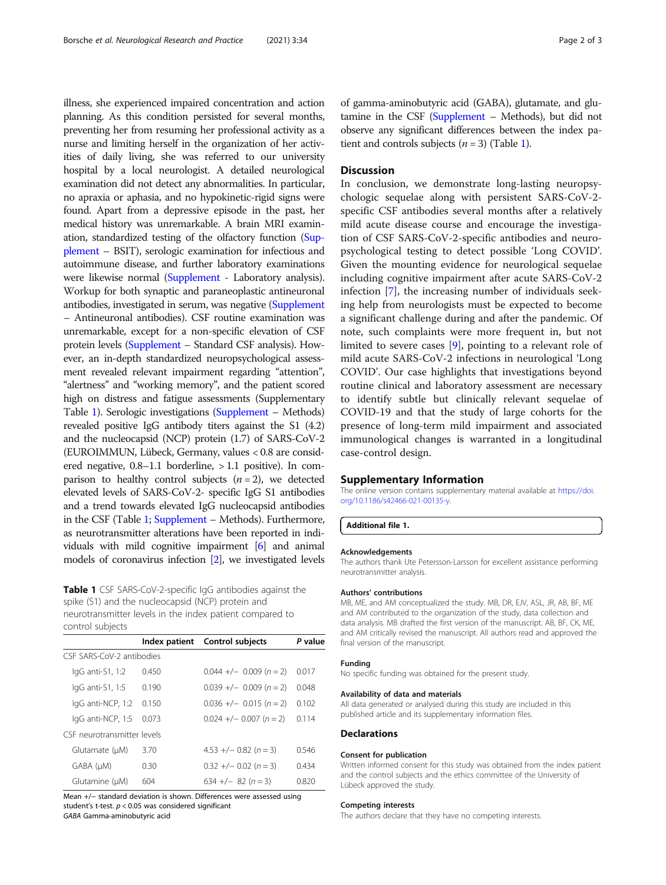illness, she experienced impaired concentration and action planning. As this condition persisted for several months, preventing her from resuming her professional activity as a nurse and limiting herself in the organization of her activities of daily living, she was referred to our university hospital by a local neurologist. A detailed neurological examination did not detect any abnormalities. In particular, no apraxia or aphasia, and no hypokinetic-rigid signs were found. Apart from a depressive episode in the past, her medical history was unremarkable. A brain MRI examination, standardized testing of the olfactory function (Supplement – BSIT), serologic examination for infectious and autoimmune disease, and further laboratory examinations were likewise normal (Supplement - Laboratory analysis). Workup for both synaptic and paraneoplastic antineuronal antibodies, investigated in serum, was negative (Supplement – Antineuronal antibodies). CSF routine examination was unremarkable, except for a non-specific elevation of CSF protein levels (Supplement – Standard CSF analysis). However, an in-depth standardized neuropsychological assessment revealed relevant impairment regarding "attention", "alertness" and "working memory", and the patient scored high on distress and fatigue assessments (Supplementary Table 1). Serologic investigations (Supplement – Methods) revealed positive IgG antibody titers against the S1 (4.2) and the nucleocapsid (NCP) protein (1.7) of SARS-CoV-2 (EUROIMMUN, Lübeck, Germany, values < 0.8 are considered negative, 0.8–1.1 borderline, > 1.1 positive). In comparison to healthy control subjects  $(n = 2)$ , we detected elevated levels of SARS-CoV-2- specific IgG S1 antibodies and a trend towards elevated IgG nucleocapsid antibodies in the CSF (Table 1; Supplement – Methods). Furthermore, as neurotransmitter alterations have been reported in individuals with mild cognitive impairment [[6](#page-2-0)] and animal models of coronavirus infection [\[2\]](#page-2-0), we investigated levels

Table 1 CSF SARS-CoV-2-specific IgG antibodies against the spike (S1) and the nucleocapsid (NCP) protein and neurotransmitter levels in the index patient compared to control subjects

|                                                                       |       | Index patient Control subjects | P value |
|-----------------------------------------------------------------------|-------|--------------------------------|---------|
| CSE SARS-CoV-2 antibodies                                             |       |                                |         |
| $IqG$ anti-S1, 1:2                                                    | 0.450 | $0.044 +/- 0.009 (n = 2)$      | 0.017   |
| $IqG$ anti-S1, 1:5                                                    | 0.190 | $0.039 +/- 0.009 (n = 2)$      | 0.048   |
| lgG anti-NCP, 1:2                                                     | 0.150 | $0.036 +/- 0.015 (n = 2)$      | 0.102   |
| lgG anti-NCP, 1:5                                                     | 0.073 | $0.024 +/- 0.007 (n = 2)$      | 0.114   |
| CSF neurotransmitter levels                                           |       |                                |         |
| Glutamate (µM)                                                        | 3.70  | $4.53 + (-0.82) (n = 3)$       | በ 546   |
| GABA (µM)                                                             | 0.30  | $0.32 +/- 0.02 (n = 3)$        | 0.434   |
| Glutamine (µM)                                                        | 604   | $634 +/- 82 (n = 3)$           | 0.820   |
| Mean +/- standard deviation is shown. Differences were assessed using |       |                                |         |

student's t-test.  $p < 0.05$  was considered significant GABA Gamma-aminobutyric acid

of gamma-aminobutyric acid (GABA), glutamate, and glutamine in the CSF (Supplement – Methods), but did not observe any significant differences between the index patient and controls subjects  $(n = 3)$  (Table 1).

#### **Discussion**

In conclusion, we demonstrate long-lasting neuropsychologic sequelae along with persistent SARS-CoV-2 specific CSF antibodies several months after a relatively mild acute disease course and encourage the investigation of CSF SARS-CoV-2-specific antibodies and neuropsychological testing to detect possible 'Long COVID'. Given the mounting evidence for neurological sequelae including cognitive impairment after acute SARS-CoV-2 infection [\[7](#page-2-0)], the increasing number of individuals seeking help from neurologists must be expected to become a significant challenge during and after the pandemic. Of note, such complaints were more frequent in, but not limited to severe cases [[9](#page-2-0)], pointing to a relevant role of mild acute SARS-CoV-2 infections in neurological 'Long COVID'. Our case highlights that investigations beyond routine clinical and laboratory assessment are necessary to identify subtle but clinically relevant sequelae of COVID-19 and that the study of large cohorts for the presence of long-term mild impairment and associated immunological changes is warranted in a longitudinal case-control design.

#### Supplementary Information

The online version contains supplementary material available at [https://doi.](https://doi.org/10.1186/s42466-021-00135-y) [org/10.1186/s42466-021-00135-y](https://doi.org/10.1186/s42466-021-00135-y).

Additional file 1.

#### Acknowledgements

The authors thank Ute Petersson-Larsson for excellent assistance performing neurotransmitter analysis.

#### Authors' contributions

MB, ME, and AM conceptualized the study. MB, DR, EJV, ASL, JR, AB, BF, ME and AM contributed to the organization of the study, data collection and data analysis. MB drafted the first version of the manuscript. AB, BF, CK, ME, and AM critically revised the manuscript. All authors read and approved the final version of the manuscript.

### Funding

No specific funding was obtained for the present study.

#### Availability of data and materials

All data generated or analysed during this study are included in this published article and its supplementary information files.

#### **Declarations**

#### Consent for publication

Written informed consent for this study was obtained from the index patient and the control subjects and the ethics committee of the University of Lübeck approved the study.

#### Competing interests

The authors declare that they have no competing interests.